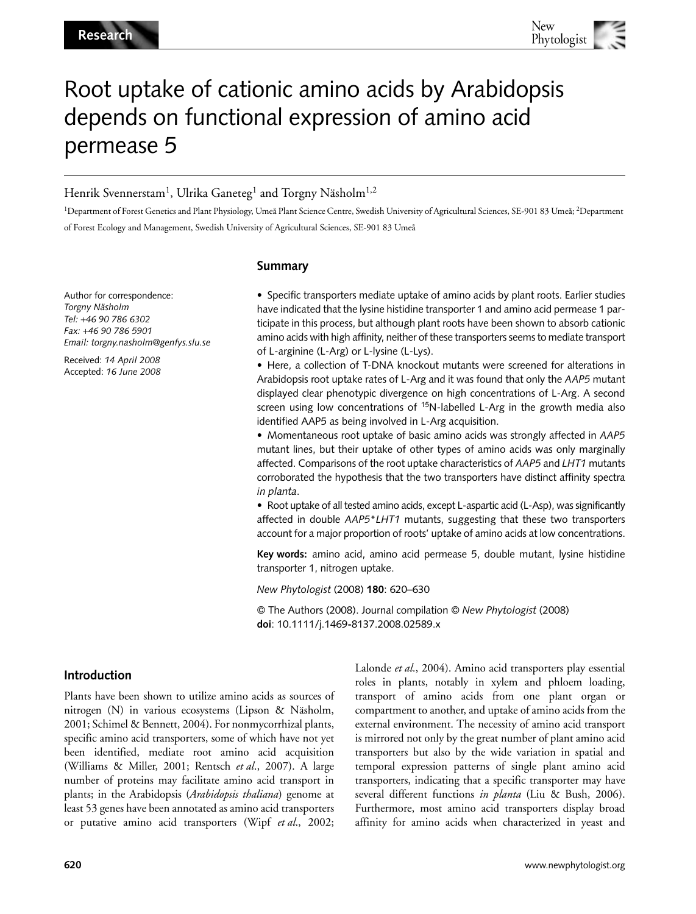# Root uptake of cationic amino acids by Arabidopsis depends on functional expression of amino acid permease 5

# Henrik Svennerstam<sup>1</sup>, Ulrika Ganeteg<sup>1</sup> and Torgny Näsholm<sup>1,2</sup>

<sup>1</sup>Department of Forest Genetics and Plant Physiology, Umeå Plant Science Centre, Swedish University of Agricultural Sciences, SE-901 83 Umeå; <sup>2</sup>Department of Forest Ecology and Management, Swedish University of Agricultural Sciences, SE-901 83 Umeå

# **Summary**

Author for correspondence: *Torgny Näsholm Tel:* +*46 90 786 6302 Fax:* +*46 90 786 5901 Email: torgny.nasholm@genfys.slu.se*

Received: *14 April 2008* Accepted: *16 June 2008*

• Specific transporters mediate uptake of amino acids by plant roots. Earlier studies have indicated that the lysine histidine transporter 1 and amino acid permease 1 participate in this process, but although plant roots have been shown to absorb cationic amino acids with high affinity, neither of these transporters seems to mediate transport of L-arginine (L-Arg) or L-lysine (L-Lys).

• Here, a collection of T-DNA knockout mutants were screened for alterations in Arabidopsis root uptake rates of L-Arg and it was found that only the *AAP5* mutant displayed clear phenotypic divergence on high concentrations of L-Arg. A second screen using low concentrations of  $15N$ -labelled L-Arg in the growth media also identified AAP5 as being involved in L-Arg acquisition.

• Momentaneous root uptake of basic amino acids was strongly affected in *AAP5* mutant lines, but their uptake of other types of amino acids was only marginally affected. Comparisons of the root uptake characteristics of *AAP5* and *LHT1* mutants corroborated the hypothesis that the two transporters have distinct affinity spectra *in planta*.

• Root uptake of all tested amino acids, except L-aspartic acid (L-Asp), was significantly affected in double *AAP5*\**LHT1* mutants, suggesting that these two transporters account for a major proportion of roots' uptake of amino acids at low concentrations.

**Key words:** amino acid, amino acid permease 5, double mutant, lysine histidine transporter 1, nitrogen uptake.

*New Phytologist* (2008) **180**: 620–630

© The Authors (2008). Journal compilation © *New Phytologist* (2008) **doi**: 10.1111/j.1469**-**8137.2008.02589.x

# **Introduction**

Plants have been shown to utilize amino acids as sources of nitrogen (N) in various ecosystems (Lipson & Näsholm, 2001; Schimel & Bennett, 2004). For nonmycorrhizal plants, specific amino acid transporters, some of which have not yet been identified, mediate root amino acid acquisition (Williams & Miller, 2001; Rentsch *et al*., 2007). A large number of proteins may facilitate amino acid transport in plants; in the Arabidopsis (*Arabidopsis thaliana*) genome at least 53 genes have been annotated as amino acid transporters or putative amino acid transporters (Wipf *et al*., 2002;

Lalonde *et al*., 2004). Amino acid transporters play essential roles in plants, notably in xylem and phloem loading, transport of amino acids from one plant organ or compartment to another, and uptake of amino acids from the external environment. The necessity of amino acid transport is mirrored not only by the great number of plant amino acid transporters but also by the wide variation in spatial and temporal expression patterns of single plant amino acid transporters, indicating that a specific transporter may have several different functions *in planta* (Liu & Bush, 2006). Furthermore, most amino acid transporters display broad affinity for amino acids when characterized in yeast and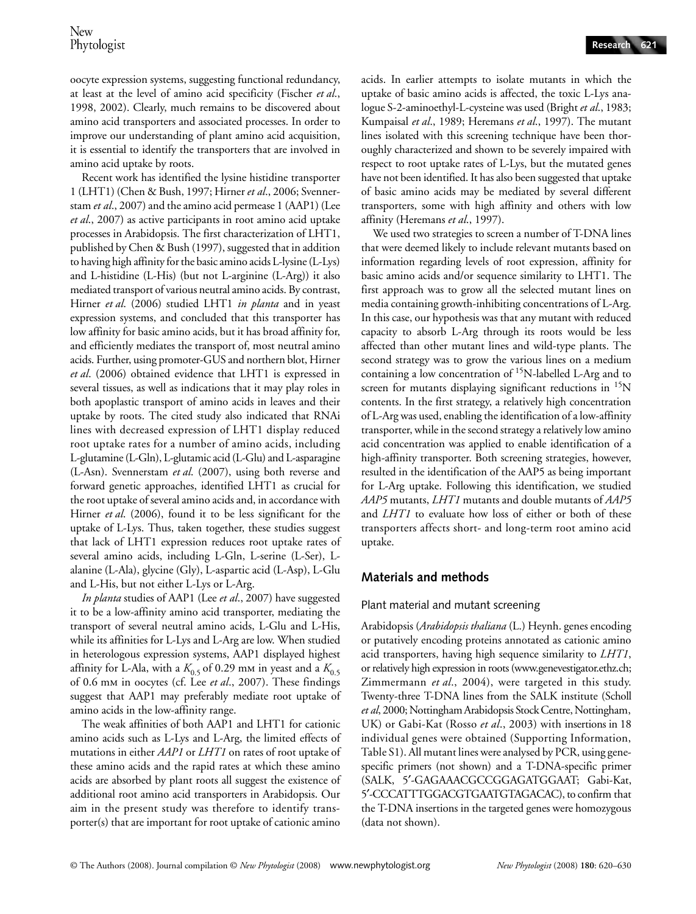oocyte expression systems, suggesting functional redundancy, at least at the level of amino acid specificity (Fischer *et al*., 1998, 2002). Clearly, much remains to be discovered about amino acid transporters and associated processes. In order to improve our understanding of plant amino acid acquisition, it is essential to identify the transporters that are involved in amino acid uptake by roots.

Recent work has identified the lysine histidine transporter 1 (LHT1) (Chen & Bush, 1997; Hirner *et al*., 2006; Svennerstam *et al*., 2007) and the amino acid permease 1 (AAP1) (Lee *et al*., 2007) as active participants in root amino acid uptake processes in Arabidopsis. The first characterization of LHT1, published by Chen & Bush (1997), suggested that in addition to having high affinity for the basic amino acids L-lysine (L-Lys) and L-histidine (L-His) (but not L-arginine (L-Arg)) it also mediated transport of various neutral amino acids. By contrast, Hirner *et al*. (2006) studied LHT1 *in planta* and in yeast expression systems, and concluded that this transporter has low affinity for basic amino acids, but it has broad affinity for, and efficiently mediates the transport of, most neutral amino acids. Further, using promoter-GUS and northern blot, Hirner *et al*. (2006) obtained evidence that LHT1 is expressed in several tissues, as well as indications that it may play roles in both apoplastic transport of amino acids in leaves and their uptake by roots. The cited study also indicated that RNAi lines with decreased expression of LHT1 display reduced root uptake rates for a number of amino acids, including L-glutamine (L-Gln), L-glutamic acid (L-Glu) and L-asparagine (L-Asn). Svennerstam *et al*. (2007), using both reverse and forward genetic approaches, identified LHT1 as crucial for the root uptake of several amino acids and, in accordance with Hirner *et al*. (2006), found it to be less significant for the uptake of L-Lys. Thus, taken together, these studies suggest that lack of LHT1 expression reduces root uptake rates of several amino acids, including L-Gln, L-serine (L-Ser), Lalanine (L-Ala), glycine (Gly), L-aspartic acid (L-Asp), L-Glu and L-His, but not either L-Lys or L-Arg.

*In planta* studies of AAP1 (Lee *et al*., 2007) have suggested it to be a low-affinity amino acid transporter, mediating the transport of several neutral amino acids, L-Glu and L-His, while its affinities for L-Lys and L-Arg are low. When studied in heterologous expression systems, AAP1 displayed highest affinity for L-Ala, with a  $K_{0.5}$  of 0.29 mm in yeast and a  $K_{0.5}$ of 0.6 mm in oocytes (cf. Lee *et al*., 2007). These findings suggest that AAP1 may preferably mediate root uptake of amino acids in the low-affinity range.

The weak affinities of both AAP1 and LHT1 for cationic amino acids such as L-Lys and L-Arg, the limited effects of mutations in either *AAP1* or *LHT1* on rates of root uptake of these amino acids and the rapid rates at which these amino acids are absorbed by plant roots all suggest the existence of additional root amino acid transporters in Arabidopsis. Our aim in the present study was therefore to identify transporter(s) that are important for root uptake of cationic amino

acids. In earlier attempts to isolate mutants in which the uptake of basic amino acids is affected, the toxic L-Lys analogue S-2-aminoethyl-L-cysteine was used (Bright *et al*., 1983; Kumpaisal *et al*., 1989; Heremans *et al*., 1997). The mutant lines isolated with this screening technique have been thoroughly characterized and shown to be severely impaired with respect to root uptake rates of L-Lys, but the mutated genes have not been identified. It has also been suggested that uptake of basic amino acids may be mediated by several different transporters, some with high affinity and others with low affinity (Heremans *et al*., 1997).

We used two strategies to screen a number of T-DNA lines that were deemed likely to include relevant mutants based on information regarding levels of root expression, affinity for basic amino acids and/or sequence similarity to LHT1. The first approach was to grow all the selected mutant lines on media containing growth-inhibiting concentrations of L-Arg. In this case, our hypothesis was that any mutant with reduced capacity to absorb L-Arg through its roots would be less affected than other mutant lines and wild-type plants. The second strategy was to grow the various lines on a medium containing a low concentration of 15N-labelled L-Arg and to screen for mutants displaying significant reductions in <sup>15</sup>N contents. In the first strategy, a relatively high concentration of L-Arg was used, enabling the identification of a low-affinity transporter, while in the second strategy a relatively low amino acid concentration was applied to enable identification of a high-affinity transporter. Both screening strategies, however, resulted in the identification of the AAP5 as being important for L-Arg uptake. Following this identification, we studied *AAP5* mutants, *LHT1* mutants and double mutants of *AAP5* and *LHT1* to evaluate how loss of either or both of these transporters affects short- and long-term root amino acid uptake.

# **Materials and methods**

## Plant material and mutant screening

Arabidopsis (*Arabidopsis thaliana* (L.) Heynh. genes encoding or putatively encoding proteins annotated as cationic amino acid transporters, having high sequence similarity to *LHT1*, or relatively high expression in roots (www.genevestigator.ethz.ch; Zimmermann *et al*., 2004), were targeted in this study. Twenty-three T-DNA lines from the SALK institute (Scholl *et al*, 2000; Nottingham Arabidopsis Stock Centre, Nottingham, UK) or Gabi-Kat (Rosso *et al*., 2003) with insertions in 18 individual genes were obtained (Supporting Information, Table S1). All mutant lines were analysed by PCR, using genespecific primers (not shown) and a T-DNA-specific primer (SALK, 5′-GAGAAACGCCGGAGATGGAAT; Gabi-Kat, 5′-CCCATTTGGACGTGAATGTAGACAC), to confirm that the T-DNA insertions in the targeted genes were homozygous (data not shown).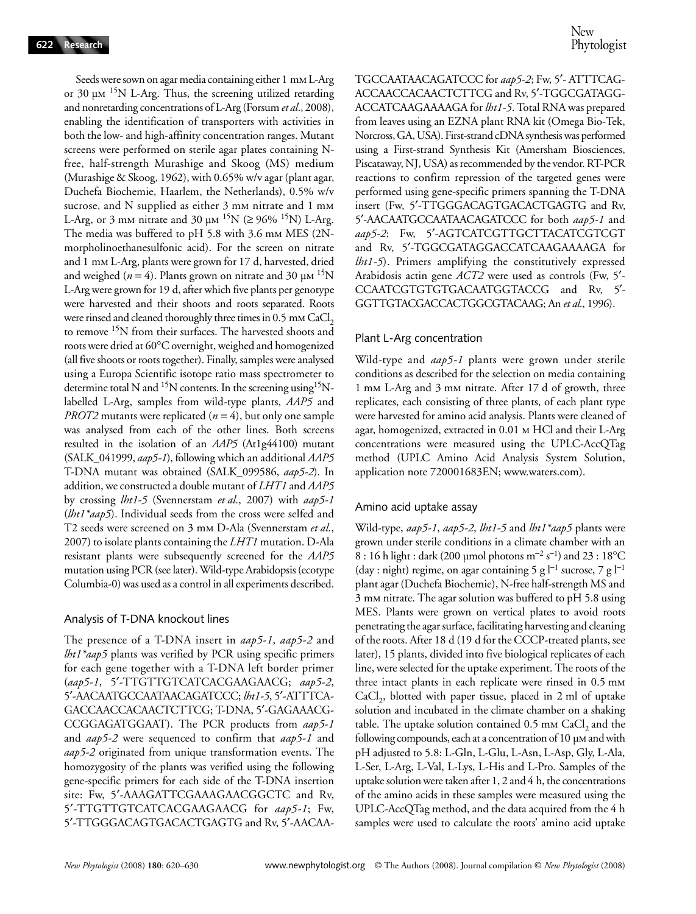Seeds were sown on agar media containing either 1 mm L-Arg or 30  $\mu$ m <sup>15</sup>N L-Arg. Thus, the screening utilized retarding and nonretarding concentrations of L-Arg (Forsum *et al*., 2008), enabling the identification of transporters with activities in both the low- and high-affinity concentration ranges. Mutant screens were performed on sterile agar plates containing Nfree, half-strength Murashige and Skoog (MS) medium (Murashige & Skoog, 1962), with 0.65% w/v agar (plant agar, Duchefa Biochemie, Haarlem, the Netherlands), 0.5% w/v sucrose, and N supplied as either 3 mm nitrate and 1 mm L-Arg, or 3 mm nitrate and 30  $\mu$ m <sup>15</sup>N ( $\geq$  96% <sup>15</sup>N) L-Arg. The media was buffered to pH 5.8 with 3.6 mm MES (2Nmorpholinoethanesulfonic acid). For the screen on nitrate and 1 mm L-Arg, plants were grown for 17 d, harvested, dried and weighed ( $n = 4$ ). Plants grown on nitrate and 30  $\mu$ m <sup>15</sup>N L-Arg were grown for 19 d, after which five plants per genotype were harvested and their shoots and roots separated. Roots were rinsed and cleaned thoroughly three times in 0.5 mm CaCl<sub>2</sub> to remove <sup>15</sup>N from their surfaces. The harvested shoots and roots were dried at 60°C overnight, weighed and homogenized (all five shoots or roots together). Finally, samples were analysed using a Europa Scientific isotope ratio mass spectrometer to determine total N and <sup>15</sup>N contents. In the screening using <sup>15</sup>Nlabelled L-Arg, samples from wild-type plants, *AAP5* and *PROT2* mutants were replicated (*n* = 4), but only one sample was analysed from each of the other lines. Both screens resulted in the isolation of an *AAP5* (At1g44100) mutant (SALK\_041999, *aap5-1*), following which an additional *AAP5* T-DNA mutant was obtained (SALK\_099586, *aap5-2*). In addition, we constructed a double mutant of *LHT1* and *AAP5* by crossing *lht1-5* (Svennerstam *et al*., 2007) with *aap5-1* (*lht1\*aap5*). Individual seeds from the cross were selfed and T2 seeds were screened on 3 mm D-Ala (Svennerstam *et al*., 2007) to isolate plants containing the *LHT1* mutation. D-Ala resistant plants were subsequently screened for the *AAP5* mutation using PCR (see later). Wild-type Arabidopsis (ecotype Columbia-0) was used as a control in all experiments described.

#### Analysis of T-DNA knockout lines

The presence of a T-DNA insert in *aap5-1*, *aap5-2* and *lht1\*aap5* plants was verified by PCR using specific primers for each gene together with a T-DNA left border primer (*aap5-1*, 5′-TTGTTGTCATCACGAAGAACG; *aap5-2*, 5′-AACAATGCCAATAACAGATCCC; *lht1-5*, 5′-ATTTCA-GACCAACCACAACTCTTCG; T-DNA, 5′-GAGAAACG-CCGGAGATGGAAT). The PCR products from *aap5-1* and *aap5-2* were sequenced to confirm that *aap5-1* and *aap5-2* originated from unique transformation events. The homozygosity of the plants was verified using the following gene-specific primers for each side of the T-DNA insertion site: Fw, 5′-AAAGATTCGAAAGAACGGCTC and Rv, 5′-TTGTTGTCATCACGAAGAACG for *aap5-1*; Fw, 5′-TTGGGACAGTGACACTGAGTG and Rv, 5′-AACAA-

TGCCAATAACAGATCCC for *aap5-2*; Fw, 5′- ATTTCAG-ACCAACCACAACTCTTCG and Rv, 5′-TGGCGATAGG-ACCATCAAGAAAAGA for *lht1-5*. Total RNA was prepared from leaves using an EZNA plant RNA kit (Omega Bio-Tek, Norcross, GA, USA). First-strand cDNA synthesis was performed using a First-strand Synthesis Kit (Amersham Biosciences, Piscataway, NJ, USA) as recommended by the vendor. RT-PCR reactions to confirm repression of the targeted genes were performed using gene-specific primers spanning the T-DNA insert (Fw, 5′-TTGGGACAGTGACACTGAGTG and Rv, 5′-AACAATGCCAATAACAGATCCC for both *aap5-1* and *aap5-2*; Fw, 5′-AGTCATCGTTGCTTACATCGTCGT and Rv, 5′-TGGCGATAGGACCATCAAGAAAAGA for *lht1-5*). Primers amplifying the constitutively expressed Arabidosis actin gene *ACT2* were used as controls (Fw, 5′- CCAATCGTGTGTGACAATGGTACCG and Rv, 5′- GGTTGTACGACCACTGGCGTACAAG; An *et al*., 1996).

#### Plant L-Arg concentration

Wild-type and *aap5-1* plants were grown under sterile conditions as described for the selection on media containing 1 mm L-Arg and 3 mm nitrate. After 17 d of growth, three replicates, each consisting of three plants, of each plant type were harvested for amino acid analysis. Plants were cleaned of agar, homogenized, extracted in 0.01 m HCl and their L-Arg concentrations were measured using the UPLC-AccQTag method (UPLC Amino Acid Analysis System Solution, application note 720001683EN; www.waters.com).

#### Amino acid uptake assay

Wild-type, *aap5-1*, *aap5-2*, *lht1-5* and *lht1\*aap5* plants were grown under sterile conditions in a climate chamber with an 8 : 16 h light : dark (200 µmol photons m<sup>-2</sup> s<sup>-1</sup>) and 23 : 18°C (day : night) regime, on agar containing 5 g  $l^{-1}$  sucrose, 7 g  $l^{-1}$ plant agar (Duchefa Biochemie), N-free half-strength MS and 3 mm nitrate. The agar solution was buffered to pH 5.8 using MES. Plants were grown on vertical plates to avoid roots penetrating the agar surface, facilitating harvesting and cleaning of the roots. After 18 d (19 d for the CCCP-treated plants, see later), 15 plants, divided into five biological replicates of each line, were selected for the uptake experiment. The roots of the three intact plants in each replicate were rinsed in 0.5 mm  $CaCl<sub>2</sub>$ , blotted with paper tissue, placed in 2 ml of uptake solution and incubated in the climate chamber on a shaking table. The uptake solution contained  $0.5$  mm CaCl<sub>2</sub> and the following compounds, each at a concentration of 10 µm and with pH adjusted to 5.8: L-Gln, L-Glu, L-Asn, L-Asp, Gly, L-Ala, L-Ser, L-Arg, L-Val, L-Lys, L-His and L-Pro. Samples of the uptake solution were taken after 1, 2 and 4 h, the concentrations of the amino acids in these samples were measured using the UPLC-AccQTag method, and the data acquired from the 4 h samples were used to calculate the roots' amino acid uptake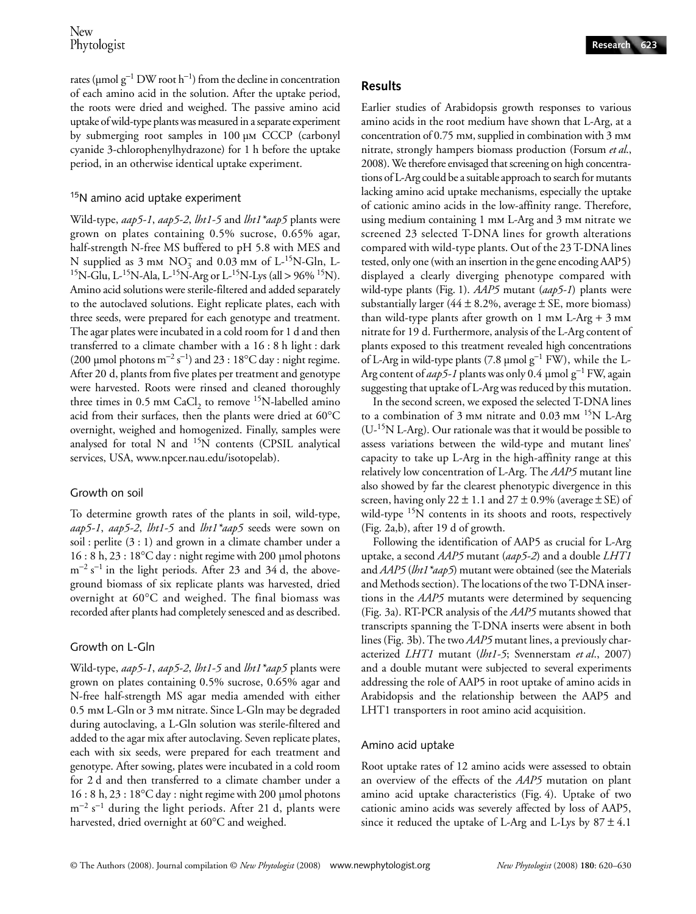rates (µmol g<sup>-1</sup> DW root h<sup>-1</sup>) from the decline in concentration of each amino acid in the solution. After the uptake period, the roots were dried and weighed. The passive amino acid uptake of wild-type plants was measured in a separate experiment by submerging root samples in 100 µm CCCP (carbonyl cyanide 3-chlorophenylhydrazone) for 1 h before the uptake period, in an otherwise identical uptake experiment.

#### <sup>15</sup>N amino acid uptake experiment

Wild-type, *aap5-1*, *aap5-2*, *lht1-5* and *lht1\*aap5* plants were grown on plates containing 0.5% sucrose, 0.65% agar, half-strength N-free MS buffered to pH 5.8 with MES and N supplied as  $3 \text{ mm} \text{ NO}_3^-$  and  $0.03 \text{ mm}$  of L-<sup>15</sup>N-Gln, L-<sup>15</sup>N-Glu, L<sup>-15</sup>N-Ala, L<sup>-15</sup>N-Arg or L<sup>-15</sup>N-Lys (all > 96% <sup>15</sup>N). Amino acid solutions were sterile-filtered and added separately to the autoclaved solutions. Eight replicate plates, each with three seeds, were prepared for each genotype and treatment. The agar plates were incubated in a cold room for 1 d and then transferred to a climate chamber with a 16 : 8 h light : dark (200 µmol photons  $m^{-2} s^{-1}$ ) and 23 : 18°C day : night regime. After 20 d, plants from five plates per treatment and genotype were harvested. Roots were rinsed and cleaned thoroughly three times in 0.5 mm CaCl<sub>2</sub> to remove <sup>15</sup>N-labelled amino acid from their surfaces, then the plants were dried at 60°C overnight, weighed and homogenized. Finally, samples were analysed for total N and <sup>15</sup>N contents (CPSIL analytical services, USA, www.npcer.nau.edu/isotopelab).

#### Growth on soil

To determine growth rates of the plants in soil, wild-type, *aap5-1*, *aap5-2*, *lht1-5* and *lht1\*aap5* seeds were sown on soil : perlite (3 : 1) and grown in a climate chamber under a 16 : 8 h, 23 : 18°C day : night regime with 200 µmol photons  $m^{-2}$  s<sup>-1</sup> in the light periods. After 23 and 34 d, the aboveground biomass of six replicate plants was harvested, dried overnight at 60°C and weighed. The final biomass was recorded after plants had completely senesced and as described.

#### Growth on L-Gln

Wild-type, *aap5-1*, *aap5-2*, *lht1-5* and *lht1\*aap5* plants were grown on plates containing 0.5% sucrose, 0.65% agar and N-free half-strength MS agar media amended with either 0.5 mm L-Gln or 3 mm nitrate. Since L-Gln may be degraded during autoclaving, a L-Gln solution was sterile-filtered and added to the agar mix after autoclaving. Seven replicate plates, each with six seeds, were prepared for each treatment and genotype. After sowing, plates were incubated in a cold room for 2 d and then transferred to a climate chamber under a 16 : 8 h, 23 : 18°C day : night regime with 200 µmol photons  $\rm m^{-2}$  s<sup>-1</sup> during the light periods. After 21 d, plants were harvested, dried overnight at 60°C and weighed.

## **Results**

Earlier studies of Arabidopsis growth responses to various amino acids in the root medium have shown that L-Arg, at a concentration of 0.75 mm, supplied in combination with 3 mm nitrate, strongly hampers biomass production (Forsum *et al*., 2008). We therefore envisaged that screening on high concentrations of L-Arg could be a suitable approach to search for mutants lacking amino acid uptake mechanisms, especially the uptake of cationic amino acids in the low-affinity range. Therefore, using medium containing 1 mm L-Arg and 3 mm nitrate we screened 23 selected T-DNA lines for growth alterations compared with wild-type plants. Out of the 23 T-DNA lines tested, only one (with an insertion in the gene encoding AAP5) displayed a clearly diverging phenotype compared with wild-type plants (Fig. 1). *AAP5* mutant (*aap5-1*) plants were substantially larger (44  $\pm$  8.2%, average  $\pm$  SE, more biomass) than wild-type plants after growth on  $1 \text{ mm L-Arg} + 3 \text{ mm}$ nitrate for 19 d. Furthermore, analysis of the L-Arg content of plants exposed to this treatment revealed high concentrations of L-Arg in wild-type plants (7.8 µmol g<sup>-1</sup> FW), while the L-Arg content of *aap5-1* plants was only 0.4 µmol g<sup>−</sup><sup>1</sup> FW, again suggesting that uptake of L-Arg was reduced by this mutation.

In the second screen, we exposed the selected T-DNA lines to a combination of 3 mm nitrate and  $0.03$  mm  $^{15}N$  L-Arg  $(U<sup>-15</sup>N L-Arg)$ . Our rationale was that it would be possible to assess variations between the wild-type and mutant lines' capacity to take up L-Arg in the high-affinity range at this relatively low concentration of L-Arg. The *AAP5* mutant line also showed by far the clearest phenotypic divergence in this screen, having only  $22 \pm 1.1$  and  $27 \pm 0.9$ % (average  $\pm$  SE) of wild-type <sup>15</sup>N contents in its shoots and roots, respectively (Fig. 2a,b), after 19 d of growth.

Following the identification of AAP5 as crucial for L-Arg uptake, a second *AAP5* mutant (*aap5-2*) and a double *LHT1* and *AAP5* (*lht1\*aap5*) mutant were obtained (see the Materials and Methods section). The locations of the two T-DNA insertions in the *AAP5* mutants were determined by sequencing (Fig. 3a). RT-PCR analysis of the *AAP5* mutants showed that transcripts spanning the T-DNA inserts were absent in both lines (Fig. 3b). The two *AAP5* mutant lines, a previously characterized *LHT1* mutant (*lht1-5*; Svennerstam *et al*., 2007) and a double mutant were subjected to several experiments addressing the role of AAP5 in root uptake of amino acids in Arabidopsis and the relationship between the AAP5 and LHT1 transporters in root amino acid acquisition.

#### Amino acid uptake

Root uptake rates of 12 amino acids were assessed to obtain an overview of the effects of the *AAP5* mutation on plant amino acid uptake characteristics (Fig. 4). Uptake of two cationic amino acids was severely affected by loss of AAP5, since it reduced the uptake of L-Arg and L-Lys by  $87 \pm 4.1$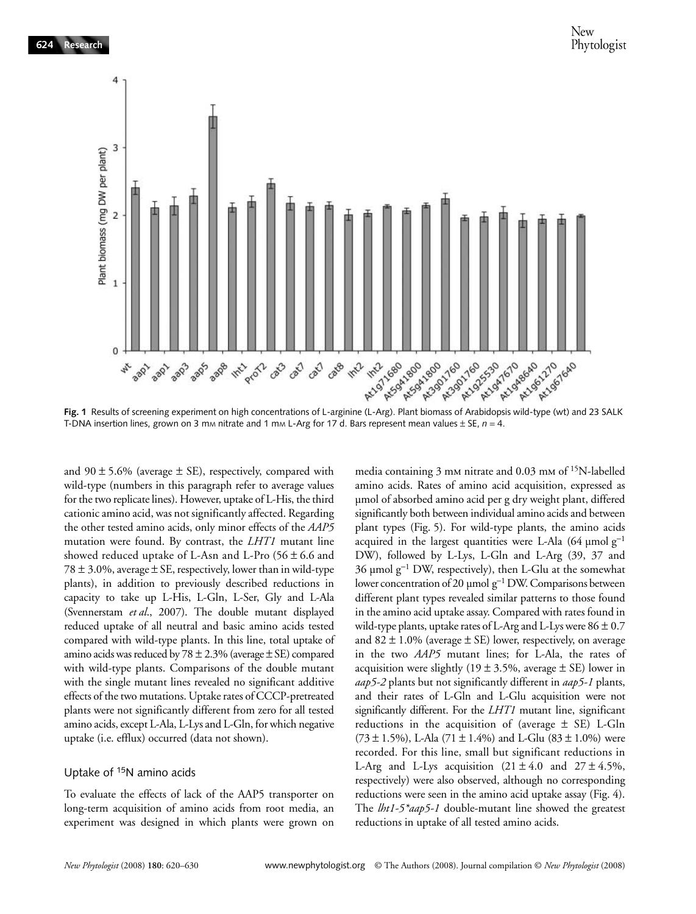

T-DNA insertion lines, grown on 3 mm nitrate and 1 mm L-Arg for 17 d. Bars represent mean values  $\pm$  SE,  $n = 4$ .

and  $90 \pm 5.6\%$  (average  $\pm$  SE), respectively, compared with wild-type (numbers in this paragraph refer to average values for the two replicate lines). However, uptake of L-His, the third cationic amino acid, was not significantly affected. Regarding the other tested amino acids, only minor effects of the *AAP5* mutation were found. By contrast, the *LHT1* mutant line showed reduced uptake of L-Asn and L-Pro  $(56 \pm 6.6 \text{ and }$ 78  $\pm$  3.0%, average  $\pm$  SE, respectively, lower than in wild-type plants), in addition to previously described reductions in capacity to take up L-His, L-Gln, L-Ser, Gly and L-Ala (Svennerstam *et al*., 2007). The double mutant displayed reduced uptake of all neutral and basic amino acids tested compared with wild-type plants. In this line, total uptake of amino acids was reduced by  $78 \pm 2.3\%$  (average  $\pm$  SE) compared with wild-type plants. Comparisons of the double mutant with the single mutant lines revealed no significant additive effects of the two mutations. Uptake rates of CCCP-pretreated plants were not significantly different from zero for all tested amino acids, except L-Ala, L-Lys and L-Gln, for which negative uptake (i.e. efflux) occurred (data not shown).

#### Uptake of <sup>15</sup>N amino acids

To evaluate the effects of lack of the AAP5 transporter on long-term acquisition of amino acids from root media, an experiment was designed in which plants were grown on

media containing 3 mm nitrate and 0.03 mm of <sup>15</sup>N-labelled amino acids. Rates of amino acid acquisition, expressed as µmol of absorbed amino acid per g dry weight plant, differed significantly both between individual amino acids and between plant types (Fig. 5). For wild-type plants, the amino acids acquired in the largest quantities were L-Ala (64 µmol  $g^{-1}$ ) DW), followed by L-Lys, L-Gln and L-Arg (39, 37 and 36 µmol g<sup>−</sup>1 DW, respectively), then L-Glu at the somewhat lower concentration of 20 µmol g<sup>-1</sup> DW. Comparisons between different plant types revealed similar patterns to those found in the amino acid uptake assay. Compared with rates found in wild-type plants, uptake rates of L-Arg and L-Lys were  $86 \pm 0.7$ and  $82 \pm 1.0\%$  (average  $\pm$  SE) lower, respectively, on average in the two *AAP5* mutant lines; for L-Ala, the rates of acquisition were slightly (19  $\pm$  3.5%, average  $\pm$  SE) lower in *aap5-2* plants but not significantly different in *aap5-1* plants, and their rates of L-Gln and L-Glu acquisition were not significantly different. For the *LHT1* mutant line, significant reductions in the acquisition of (average  $\pm$  SE) L-Gln (73 ± 1.5%), L-Ala (71 ± 1.4%) and L-Glu (83 ± 1.0%) were recorded. For this line, small but significant reductions in L-Arg and L-Lys acquisition  $(21 \pm 4.0 \text{ and } 27 \pm 4.5\%)$ , respectively) were also observed, although no corresponding reductions were seen in the amino acid uptake assay (Fig. 4). The *lht1-5\*aap5-1* double-mutant line showed the greatest reductions in uptake of all tested amino acids.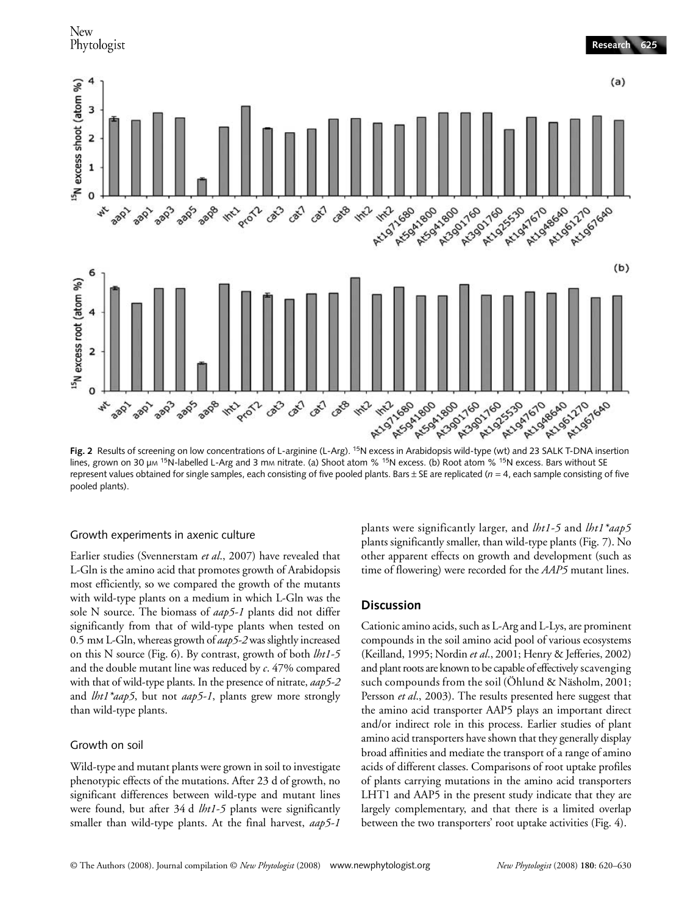

lines, grown on 30  $\mu$ m <sup>15</sup>N-labelled L-Arg and 3 mm nitrate. (a) Shoot atom % <sup>15</sup>N excess. (b) Root atom % <sup>15</sup>N excess. Bars without SE represent values obtained for single samples, each consisting of five pooled plants. Bars  $\pm$  SE are replicated ( $n = 4$ , each sample consisting of five pooled plants).

#### Growth experiments in axenic culture

Earlier studies (Svennerstam *et al*., 2007) have revealed that L-Gln is the amino acid that promotes growth of Arabidopsis most efficiently, so we compared the growth of the mutants with wild-type plants on a medium in which L-Gln was the sole N source. The biomass of *aap5-1* plants did not differ significantly from that of wild-type plants when tested on 0.5 mm L-Gln, whereas growth of *aap5-2* was slightly increased on this N source (Fig. 6). By contrast, growth of both *lht1-5* and the double mutant line was reduced by *c*. 47% compared with that of wild-type plants. In the presence of nitrate, *aap5-2* and *lht1\*aap5*, but not *aap5-1*, plants grew more strongly than wild-type plants.

#### Growth on soil

Wild-type and mutant plants were grown in soil to investigate phenotypic effects of the mutations. After 23 d of growth, no significant differences between wild-type and mutant lines were found, but after 34 d *lht1-5* plants were significantly smaller than wild-type plants. At the final harvest, *aap5-1*

plants were significantly larger, and *lht1-5* and *lht1\*aap5* plants significantly smaller, than wild-type plants (Fig. 7). No other apparent effects on growth and development (such as time of flowering) were recorded for the *AAP5* mutant lines.

## **Discussion**

Cationic amino acids, such as L-Arg and L-Lys, are prominent compounds in the soil amino acid pool of various ecosystems (Keilland, 1995; Nordin *et al*., 2001; Henry & Jefferies, 2002) and plant roots are known to be capable of effectively scavenging such compounds from the soil (Öhlund & Näsholm, 2001; Persson *et al*., 2003). The results presented here suggest that the amino acid transporter AAP5 plays an important direct and/or indirect role in this process. Earlier studies of plant amino acid transporters have shown that they generally display broad affinities and mediate the transport of a range of amino acids of different classes. Comparisons of root uptake profiles of plants carrying mutations in the amino acid transporters LHT1 and AAP5 in the present study indicate that they are largely complementary, and that there is a limited overlap between the two transporters' root uptake activities (Fig. 4).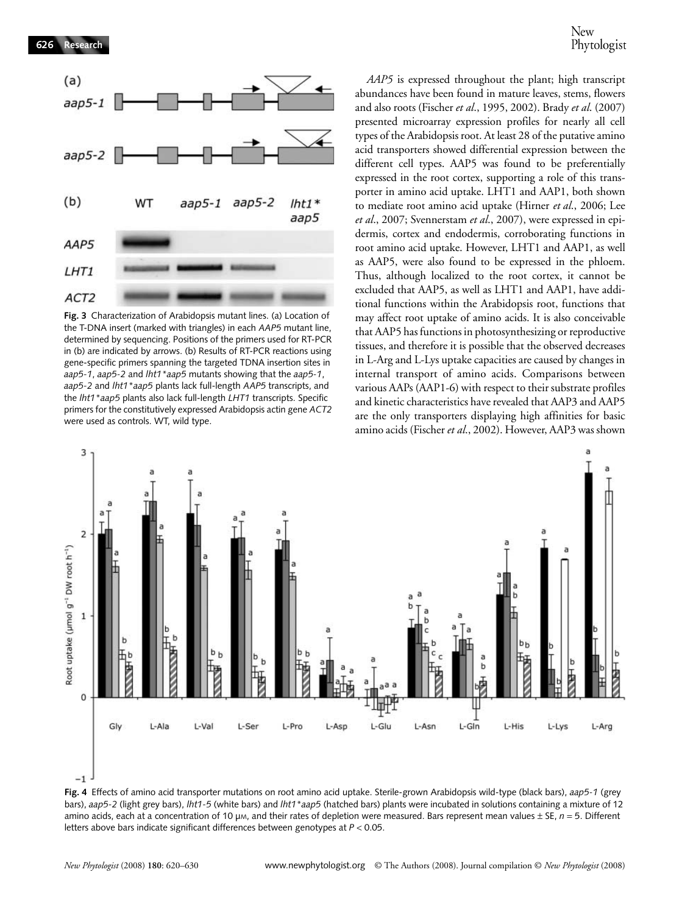

**Fig. 3** Characterization of Arabidopsis mutant lines. (a) Location of the T-DNA insert (marked with triangles) in each *AAP5* mutant line, determined by sequencing. Positions of the primers used for RT-PCR in (b) are indicated by arrows. (b) Results of RT-PCR reactions using gene-specific primers spanning the targeted TDNA insertion sites in *aap5-1*, *aap5-2* and *lht1\*aap5* mutants showing that the *aap5-1*, *aap5-2* and *lht1\*aap5* plants lack full-length *AAP5* transcripts, and the *lht1\*aap5* plants also lack full-length *LHT1* transcripts. Specific primers for the constitutively expressed Arabidopsis actin gene *ACT2* were used as controls. WT, wild type.

*AAP5* is expressed throughout the plant; high transcript abundances have been found in mature leaves, stems, flowers and also roots (Fischer *et al*., 1995, 2002). Brady *et al*. (2007) presented microarray expression profiles for nearly all cell types of the Arabidopsis root. At least 28 of the putative amino acid transporters showed differential expression between the different cell types. AAP5 was found to be preferentially expressed in the root cortex, supporting a role of this transporter in amino acid uptake. LHT1 and AAP1, both shown to mediate root amino acid uptake (Hirner *et al*., 2006; Lee *et al*., 2007; Svennerstam *et al*., 2007), were expressed in epidermis, cortex and endodermis, corroborating functions in root amino acid uptake. However, LHT1 and AAP1, as well as AAP5, were also found to be expressed in the phloem. Thus, although localized to the root cortex, it cannot be excluded that AAP5, as well as LHT1 and AAP1, have additional functions within the Arabidopsis root, functions that may affect root uptake of amino acids. It is also conceivable that AAP5 has functions in photosynthesizing or reproductive tissues, and therefore it is possible that the observed decreases in L-Arg and L-Lys uptake capacities are caused by changes in internal transport of amino acids. Comparisons between various AAPs (AAP1-6) with respect to their substrate profiles and kinetic characteristics have revealed that AAP3 and AAP5 are the only transporters displaying high affinities for basic amino acids (Fischer *et al*., 2002). However, AAP3 was shown



**Fig. 4** Effects of amino acid transporter mutations on root amino acid uptake. Sterile-grown Arabidopsis wild-type (black bars), *aap5-1* (grey bars), *aap5-2* (light grey bars), *lht1-5* (white bars) and *lht1\*aap5* (hatched bars) plants were incubated in solutions containing a mixture of 12 amino acids, each at a concentration of 10  $\mu$ m, and their rates of depletion were measured. Bars represent mean values  $\pm$  SE,  $n = 5$ . Different letters above bars indicate significant differences between genotypes at *P* < 0.05.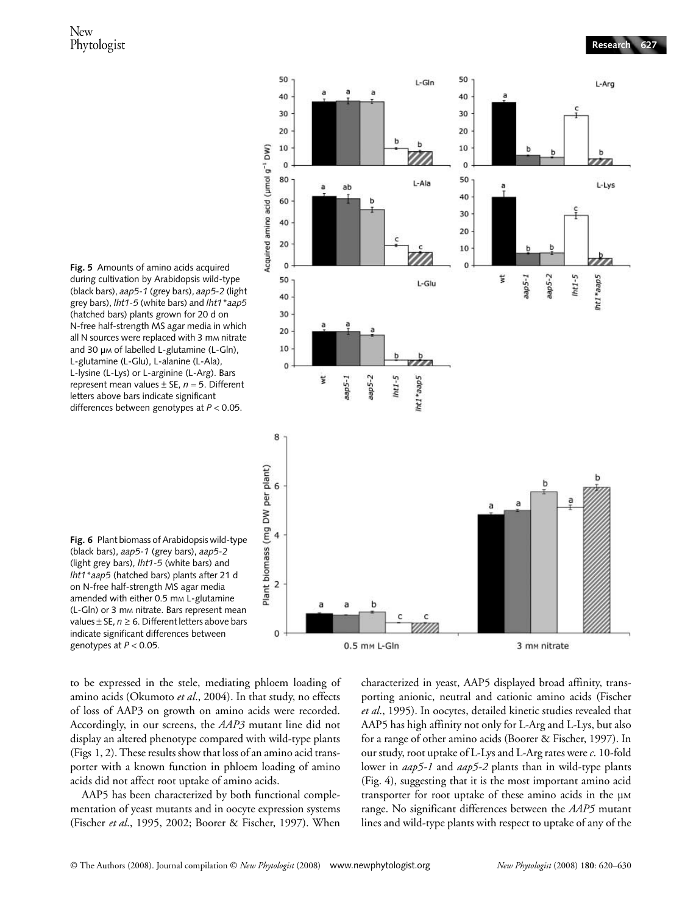

**Fig. 5** Amounts of amino acids acquired during cultivation by Arabidopsis wild-type (black bars), *aap5-1* (grey bars), *aap5-2* (light grey bars), *lht1-5* (white bars) and *lht1\*aap5* (hatched bars) plants grown for 20 d on N-free half-strength MS agar media in which all N sources were replaced with 3 mm nitrate and 30 µm of labelled L-glutamine (L-Gln), L-glutamine (L-Glu), L-alanine (L-Ala), L-lysine (L-Lys) or L-arginine (L-Arg). Bars represent mean values ± SE, *n* = 5. Different letters above bars indicate significant differences between genotypes at *P* < 0.05.



to be expressed in the stele, mediating phloem loading of amino acids (Okumoto *et al*., 2004). In that study, no effects of loss of AAP3 on growth on amino acids were recorded. Accordingly, in our screens, the *AAP3* mutant line did not display an altered phenotype compared with wild-type plants (Figs 1, 2). These results show that loss of an amino acid transporter with a known function in phloem loading of amino acids did not affect root uptake of amino acids.

AAP5 has been characterized by both functional complementation of yeast mutants and in oocyte expression systems (Fischer *et al*., 1995, 2002; Boorer & Fischer, 1997). When

characterized in yeast, AAP5 displayed broad affinity, transporting anionic, neutral and cationic amino acids (Fischer *et al*., 1995). In oocytes, detailed kinetic studies revealed that AAP5 has high affinity not only for L-Arg and L-Lys, but also for a range of other amino acids (Boorer & Fischer, 1997). In our study, root uptake of L-Lys and L-Arg rates were *c*. 10-fold lower in *aap5-1* and *aap5-2* plants than in wild-type plants (Fig. 4), suggesting that it is the most important amino acid transporter for root uptake of these amino acids in the µm range. No significant differences between the *AAP5* mutant lines and wild-type plants with respect to uptake of any of the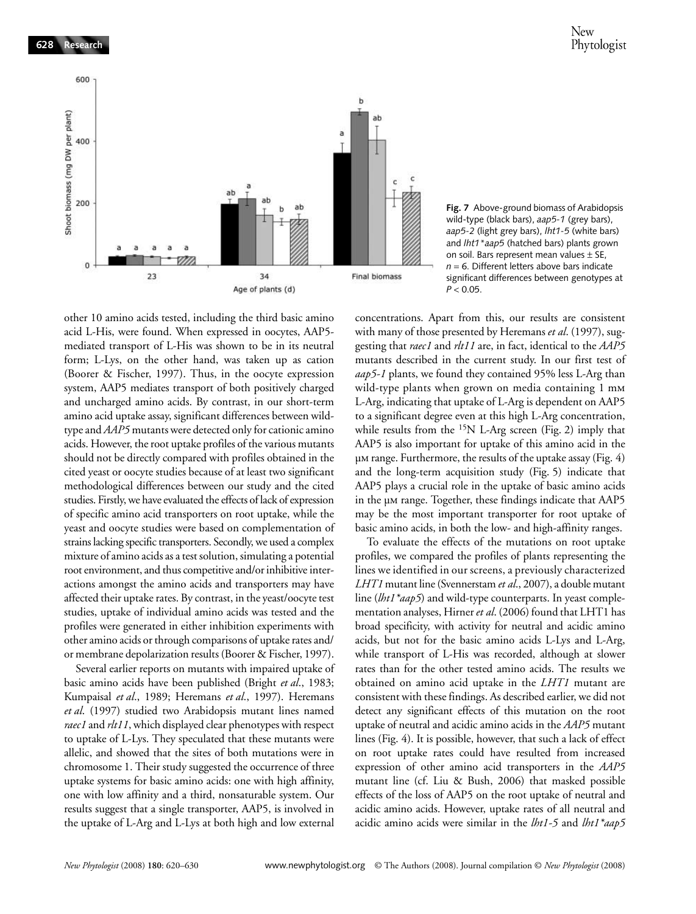

**Fig. 7** Above-ground biomass of Arabidopsis wild-type (black bars), *aap5-1* (grey bars), *aap5-2* (light grey bars), *lht1-5* (white bars) and *lht1\*aap5* (hatched bars) plants grown on soil. Bars represent mean values  $\pm$  SE,  $n = 6$ . Different letters above bars indicate significant differences between genotypes at *P* < 0.05.

other 10 amino acids tested, including the third basic amino acid L-His, were found. When expressed in oocytes, AAP5 mediated transport of L-His was shown to be in its neutral form; L-Lys, on the other hand, was taken up as cation (Boorer & Fischer, 1997). Thus, in the oocyte expression system, AAP5 mediates transport of both positively charged and uncharged amino acids. By contrast, in our short-term amino acid uptake assay, significant differences between wildtype and *AAP5* mutants were detected only for cationic amino acids. However, the root uptake profiles of the various mutants should not be directly compared with profiles obtained in the cited yeast or oocyte studies because of at least two significant methodological differences between our study and the cited studies. Firstly, we have evaluated the effects of lack of expression of specific amino acid transporters on root uptake, while the yeast and oocyte studies were based on complementation of strains lacking specific transporters. Secondly, we used a complex mixture of amino acids as a test solution, simulating a potential root environment, and thus competitive and/or inhibitive interactions amongst the amino acids and transporters may have affected their uptake rates. By contrast, in the yeast/oocyte test studies, uptake of individual amino acids was tested and the profiles were generated in either inhibition experiments with other amino acids or through comparisons of uptake rates and/ or membrane depolarization results (Boorer & Fischer, 1997).

Several earlier reports on mutants with impaired uptake of basic amino acids have been published (Bright *et al*., 1983; Kumpaisal *et al*., 1989; Heremans *et al*., 1997). Heremans *et al*. (1997) studied two Arabidopsis mutant lines named *raec1* and *rlt11*, which displayed clear phenotypes with respect to uptake of L-Lys. They speculated that these mutants were allelic, and showed that the sites of both mutations were in chromosome 1. Their study suggested the occurrence of three uptake systems for basic amino acids: one with high affinity, one with low affinity and a third, nonsaturable system. Our results suggest that a single transporter, AAP5, is involved in the uptake of L-Arg and L-Lys at both high and low external

concentrations. Apart from this, our results are consistent with many of those presented by Heremans *et al*. (1997), suggesting that *raec1* and *rlt11* are, in fact, identical to the *AAP5* mutants described in the current study. In our first test of *aap5-1* plants, we found they contained 95% less L-Arg than wild-type plants when grown on media containing 1 mm L-Arg, indicating that uptake of L-Arg is dependent on AAP5 to a significant degree even at this high L-Arg concentration, while results from the  $^{15}N$  L-Arg screen (Fig. 2) imply that AAP5 is also important for uptake of this amino acid in the µm range. Furthermore, the results of the uptake assay (Fig. 4) and the long-term acquisition study (Fig. 5) indicate that AAP5 plays a crucial role in the uptake of basic amino acids in the µm range. Together, these findings indicate that AAP5 may be the most important transporter for root uptake of basic amino acids, in both the low- and high-affinity ranges.

To evaluate the effects of the mutations on root uptake profiles, we compared the profiles of plants representing the lines we identified in our screens, a previously characterized *LHT1* mutant line (Svennerstam *et al*., 2007), a double mutant line (*lht1\*aap5*) and wild-type counterparts. In yeast complementation analyses, Hirner *et al*. (2006) found that LHT1 has broad specificity, with activity for neutral and acidic amino acids, but not for the basic amino acids L-Lys and L-Arg, while transport of L-His was recorded, although at slower rates than for the other tested amino acids. The results we obtained on amino acid uptake in the *LHT1* mutant are consistent with these findings. As described earlier, we did not detect any significant effects of this mutation on the root uptake of neutral and acidic amino acids in the *AAP5* mutant lines (Fig. 4). It is possible, however, that such a lack of effect on root uptake rates could have resulted from increased expression of other amino acid transporters in the *AAP5* mutant line (cf. Liu & Bush, 2006) that masked possible effects of the loss of AAP5 on the root uptake of neutral and acidic amino acids. However, uptake rates of all neutral and acidic amino acids were similar in the *lht1-5* and *lht1\*aap5*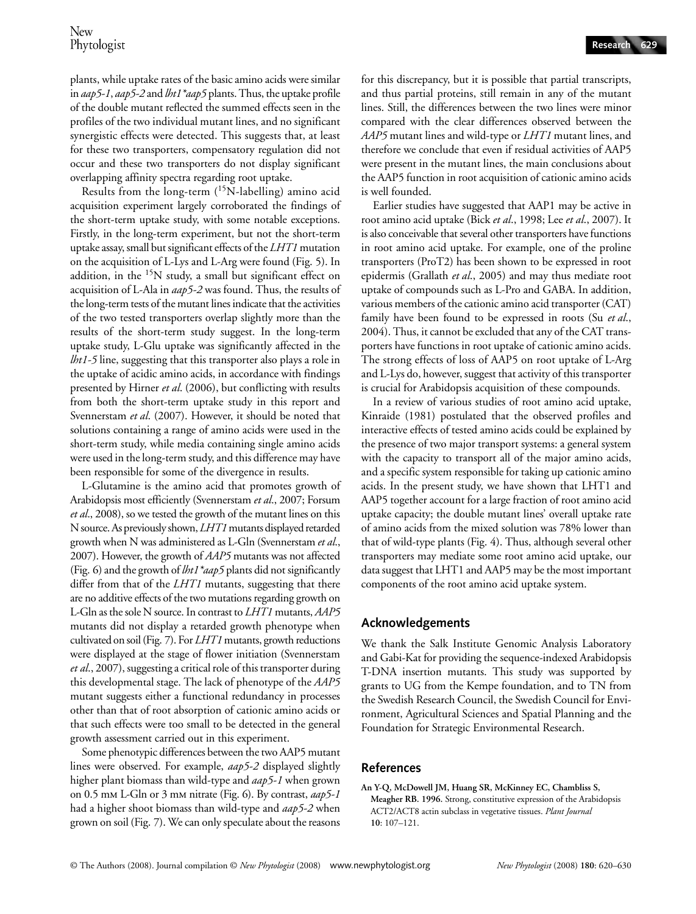plants, while uptake rates of the basic amino acids were similar in *aap5-1*, *aap5-2* and *lht1\*aap5* plants. Thus, the uptake profile of the double mutant reflected the summed effects seen in the profiles of the two individual mutant lines, and no significant synergistic effects were detected. This suggests that, at least for these two transporters, compensatory regulation did not occur and these two transporters do not display significant overlapping affinity spectra regarding root uptake.

Results from the long-term (<sup>15</sup>N-labelling) amino acid acquisition experiment largely corroborated the findings of the short-term uptake study, with some notable exceptions. Firstly, in the long-term experiment, but not the short-term uptake assay, small but significant effects of the *LHT1* mutation on the acquisition of L-Lys and L-Arg were found (Fig. 5). In addition, in the <sup>15</sup>N study, a small but significant effect on acquisition of L-Ala in *aap5-2* was found. Thus, the results of the long-term tests of the mutant lines indicate that the activities of the two tested transporters overlap slightly more than the results of the short-term study suggest. In the long-term uptake study, L-Glu uptake was significantly affected in the *lht1-5* line, suggesting that this transporter also plays a role in the uptake of acidic amino acids, in accordance with findings presented by Hirner *et al*. (2006), but conflicting with results from both the short-term uptake study in this report and Svennerstam *et al*. (2007). However, it should be noted that solutions containing a range of amino acids were used in the short-term study, while media containing single amino acids were used in the long-term study, and this difference may have been responsible for some of the divergence in results.

L-Glutamine is the amino acid that promotes growth of Arabidopsis most efficiently (Svennerstam *et al*., 2007; Forsum *et al*., 2008), so we tested the growth of the mutant lines on this N source. As previously shown, *LHT1* mutants displayed retarded growth when N was administered as L-Gln (Svennerstam *et al*., 2007). However, the growth of *AAP5* mutants was not affected (Fig. 6) and the growth of *lht1\*aap5* plants did not significantly differ from that of the *LHT1* mutants, suggesting that there are no additive effects of the two mutations regarding growth on L-Gln as the sole N source. In contrast to *LHT1* mutants, *AAP5* mutants did not display a retarded growth phenotype when cultivated on soil (Fig. 7). For *LHT1* mutants, growth reductions were displayed at the stage of flower initiation (Svennerstam *et al*., 2007), suggesting a critical role of this transporter during this developmental stage. The lack of phenotype of the *AAP5* mutant suggests either a functional redundancy in processes other than that of root absorption of cationic amino acids or that such effects were too small to be detected in the general growth assessment carried out in this experiment.

Some phenotypic differences between the two AAP5 mutant lines were observed. For example, *aap5-2* displayed slightly higher plant biomass than wild-type and *aap5-1* when grown on 0.5 mm L-Gln or 3 mm nitrate (Fig. 6). By contrast, *aap5-1* had a higher shoot biomass than wild-type and *aap5-2* when grown on soil (Fig. 7). We can only speculate about the reasons

for this discrepancy, but it is possible that partial transcripts, and thus partial proteins, still remain in any of the mutant lines. Still, the differences between the two lines were minor compared with the clear differences observed between the *AAP5* mutant lines and wild-type or *LHT1* mutant lines, and therefore we conclude that even if residual activities of AAP5 were present in the mutant lines, the main conclusions about the AAP5 function in root acquisition of cationic amino acids is well founded.

Earlier studies have suggested that AAP1 may be active in root amino acid uptake (Bick *et al*., 1998; Lee *et al*., 2007). It is also conceivable that several other transporters have functions in root amino acid uptake. For example, one of the proline transporters (ProT2) has been shown to be expressed in root epidermis (Grallath *et al*., 2005) and may thus mediate root uptake of compounds such as L-Pro and GABA. In addition, various members of the cationic amino acid transporter (CAT) family have been found to be expressed in roots (Su *et al*., 2004). Thus, it cannot be excluded that any of the CAT transporters have functions in root uptake of cationic amino acids. The strong effects of loss of AAP5 on root uptake of L-Arg and L-Lys do, however, suggest that activity of this transporter is crucial for Arabidopsis acquisition of these compounds.

In a review of various studies of root amino acid uptake, Kinraide (1981) postulated that the observed profiles and interactive effects of tested amino acids could be explained by the presence of two major transport systems: a general system with the capacity to transport all of the major amino acids, and a specific system responsible for taking up cationic amino acids. In the present study, we have shown that LHT1 and AAP5 together account for a large fraction of root amino acid uptake capacity; the double mutant lines' overall uptake rate of amino acids from the mixed solution was 78% lower than that of wild-type plants (Fig. 4). Thus, although several other transporters may mediate some root amino acid uptake, our data suggest that LHT1 and AAP5 may be the most important components of the root amino acid uptake system.

## **Acknowledgements**

We thank the Salk Institute Genomic Analysis Laboratory and Gabi-Kat for providing the sequence-indexed Arabidopsis T-DNA insertion mutants. This study was supported by grants to UG from the Kempe foundation, and to TN from the Swedish Research Council, the Swedish Council for Environment, Agricultural Sciences and Spatial Planning and the Foundation for Strategic Environmental Research.

## **References**

**An Y-Q, McDowell JM, Huang SR, McKinney EC, Chambliss S, Meagher RB. 1996.** Strong, constitutive expression of the Arabidopsis ACT2/ACT8 actin subclass in vegetative tissues. *Plant Journal* **10**: 107–121.